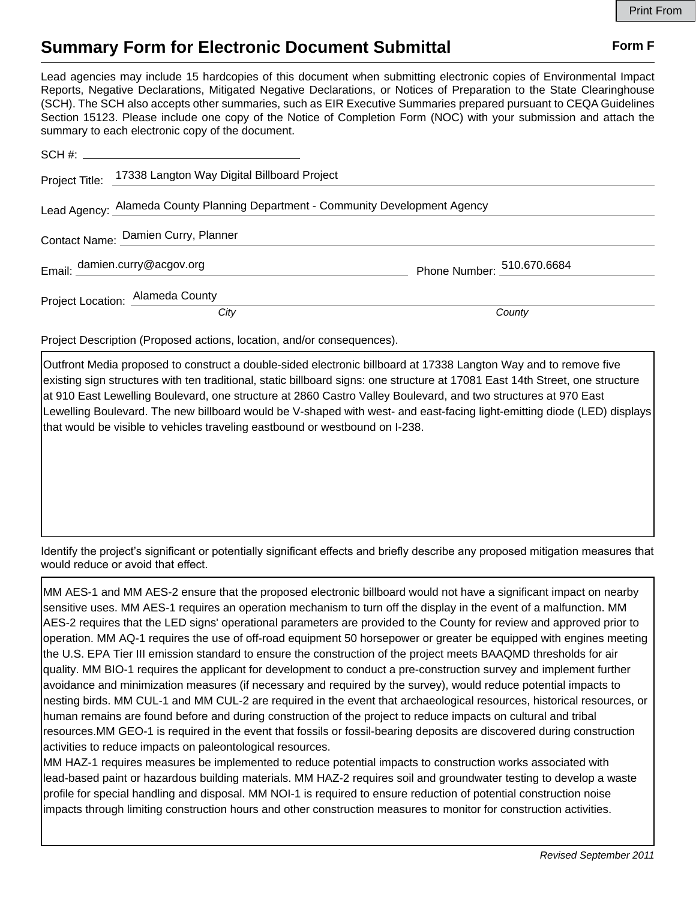## **Summary Form for Electronic Document Submittal Form F Form F**

Lead agencies may include 15 hardcopies of this document when submitting electronic copies of Environmental Impact Reports, Negative Declarations, Mitigated Negative Declarations, or Notices of Preparation to the State Clearinghouse (SCH). The SCH also accepts other summaries, such as EIR Executive Summaries prepared pursuant to CEQA Guidelines Section 15123. Please include one copy of the Notice of Completion Form (NOC) with your submission and attach the summary to each electronic copy of the document.

|                                                                                | Project Title: 17338 Langton Way Digital Billboard Project |                            |
|--------------------------------------------------------------------------------|------------------------------------------------------------|----------------------------|
| Lead Agency: Alameda County Planning Department - Community Development Agency |                                                            |                            |
|                                                                                | Contact Name: Damien Curry, Planner                        |                            |
|                                                                                | Email: damien.curry@acgov.org                              | Phone Number: 510.670.6684 |
|                                                                                | Project Location: Alameda County                           |                            |
|                                                                                | City                                                       | County                     |

Project Description (Proposed actions, location, and/or consequences).

Outfront Media proposed to construct a double-sided electronic billboard at 17338 Langton Way and to remove five existing sign structures with ten traditional, static billboard signs: one structure at 17081 East 14th Street, one structure at 910 East Lewelling Boulevard, one structure at 2860 Castro Valley Boulevard, and two structures at 970 East Lewelling Boulevard. The new billboard would be V-shaped with west- and east-facing light-emitting diode (LED) displays that would be visible to vehicles traveling eastbound or westbound on I-238.

Identify the project's significant or potentially significant effects and briefly describe any proposed mitigation measures that would reduce or avoid that effect.

MM AES-1 and MM AES-2 ensure that the proposed electronic billboard would not have a significant impact on nearby sensitive uses. MM AES-1 requires an operation mechanism to turn off the display in the event of a malfunction. MM AES-2 requires that the LED signs' operational parameters are provided to the County for review and approved prior to operation. MM AQ-1 requires the use of off-road equipment 50 horsepower or greater be equipped with engines meeting the U.S. EPA Tier III emission standard to ensure the construction of the project meets BAAQMD thresholds for air quality. MM BIO-1 requires the applicant for development to conduct a pre-construction survey and implement further avoidance and minimization measures (if necessary and required by the survey), would reduce potential impacts to nesting birds. MM CUL-1 and MM CUL-2 are required in the event that archaeological resources, historical resources, or human remains are found before and during construction of the project to reduce impacts on cultural and tribal resources.MM GEO-1 is required in the event that fossils or fossil-bearing deposits are discovered during construction activities to reduce impacts on paleontological resources.

MM HAZ-1 requires measures be implemented to reduce potential impacts to construction works associated with lead-based paint or hazardous building materials. MM HAZ-2 requires soil and groundwater testing to develop a waste profile for special handling and disposal. MM NOI-1 is required to ensure reduction of potential construction noise impacts through limiting construction hours and other construction measures to monitor for construction activities.